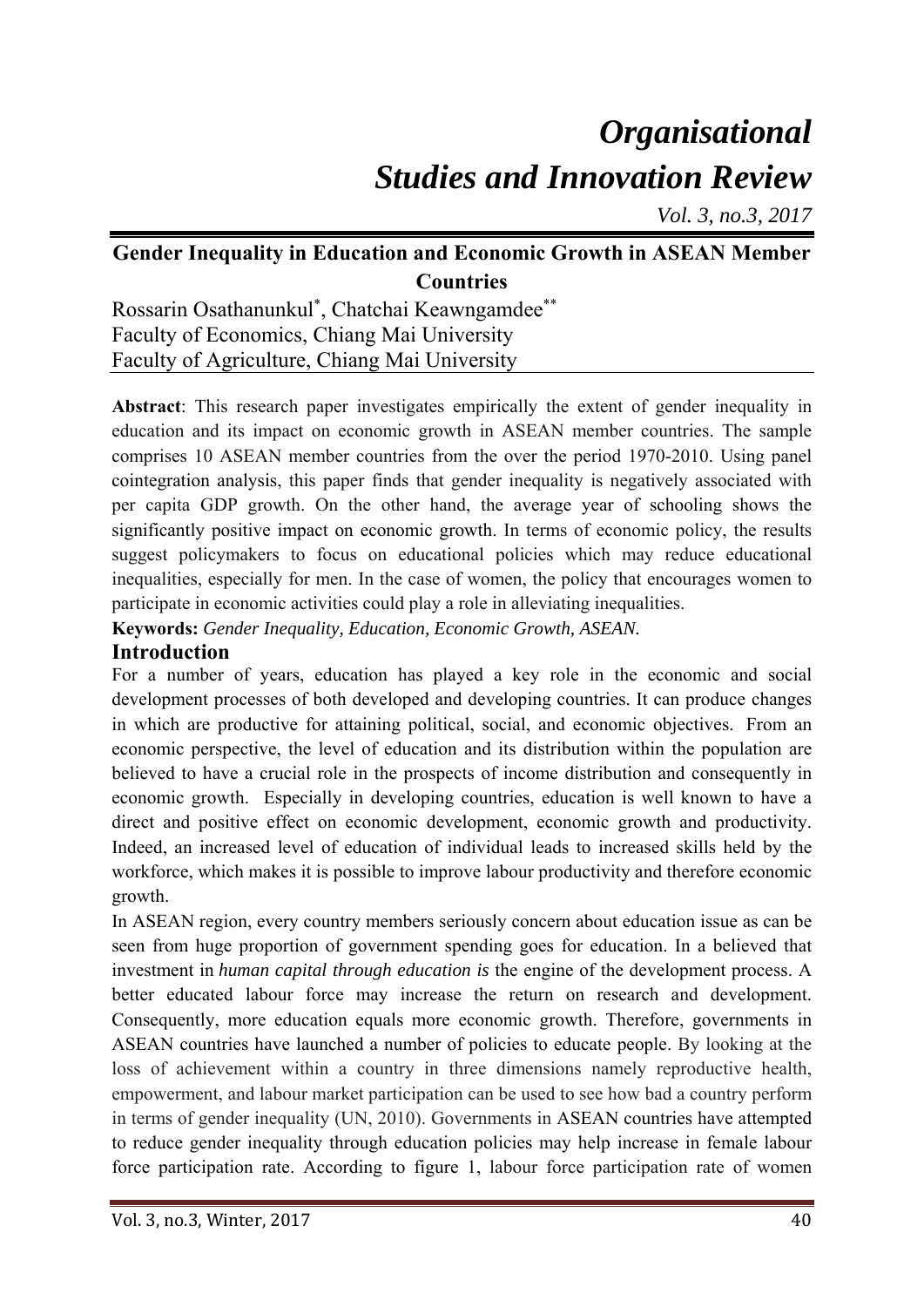# *Organisational Studies and Innovation Review*

*Vol. 3, no.3, 2017* 

# **Gender Inequality in Education and Economic Growth in ASEAN Member Countries**

Rossarin Osathanunkul\* , Chatchai Keawngamdee\*\* Faculty of Economics, Chiang Mai University Faculty of Agriculture, Chiang Mai University

**Abstract**: This research paper investigates empirically the extent of gender inequality in education and its impact on economic growth in ASEAN member countries. The sample comprises 10 ASEAN member countries from the over the period 1970-2010. Using panel cointegration analysis, this paper finds that gender inequality is negatively associated with per capita GDP growth. On the other hand, the average year of schooling shows the significantly positive impact on economic growth. In terms of economic policy, the results suggest policymakers to focus on educational policies which may reduce educational inequalities, especially for men. In the case of women, the policy that encourages women to participate in economic activities could play a role in alleviating inequalities.

**Keywords:** *Gender Inequality, Education, Economic Growth, ASEAN.* 

### **Introduction**

For a number of years, education has played a key role in the economic and social development processes of both developed and developing countries. It can produce changes in which are productive for attaining political, social, and economic objectives. From an economic perspective, the level of education and its distribution within the population are believed to have a crucial role in the prospects of income distribution and consequently in economic growth. Especially in developing countries, education is well known to have a direct and positive effect on economic development, economic growth and productivity. Indeed, an increased level of education of individual leads to increased skills held by the workforce, which makes it is possible to improve labour productivity and therefore economic growth.

In ASEAN region, every country members seriously concern about education issue as can be seen from huge proportion of government spending goes for education. In a believed that investment in *human capital through education is* the engine of the development process. A better educated labour force may increase the return on research and development. Consequently, more education equals more economic growth. Therefore, governments in ASEAN countries have launched a number of policies to educate people. By looking at the loss of achievement within a country in three dimensions namely reproductive health, empowerment, and labour market participation can be used to see how bad a country perform in terms of gender inequality (UN, 2010). Governments in ASEAN countries have attempted to reduce gender inequality through education policies may help increase in female labour force participation rate. According to figure 1, labour force participation rate of women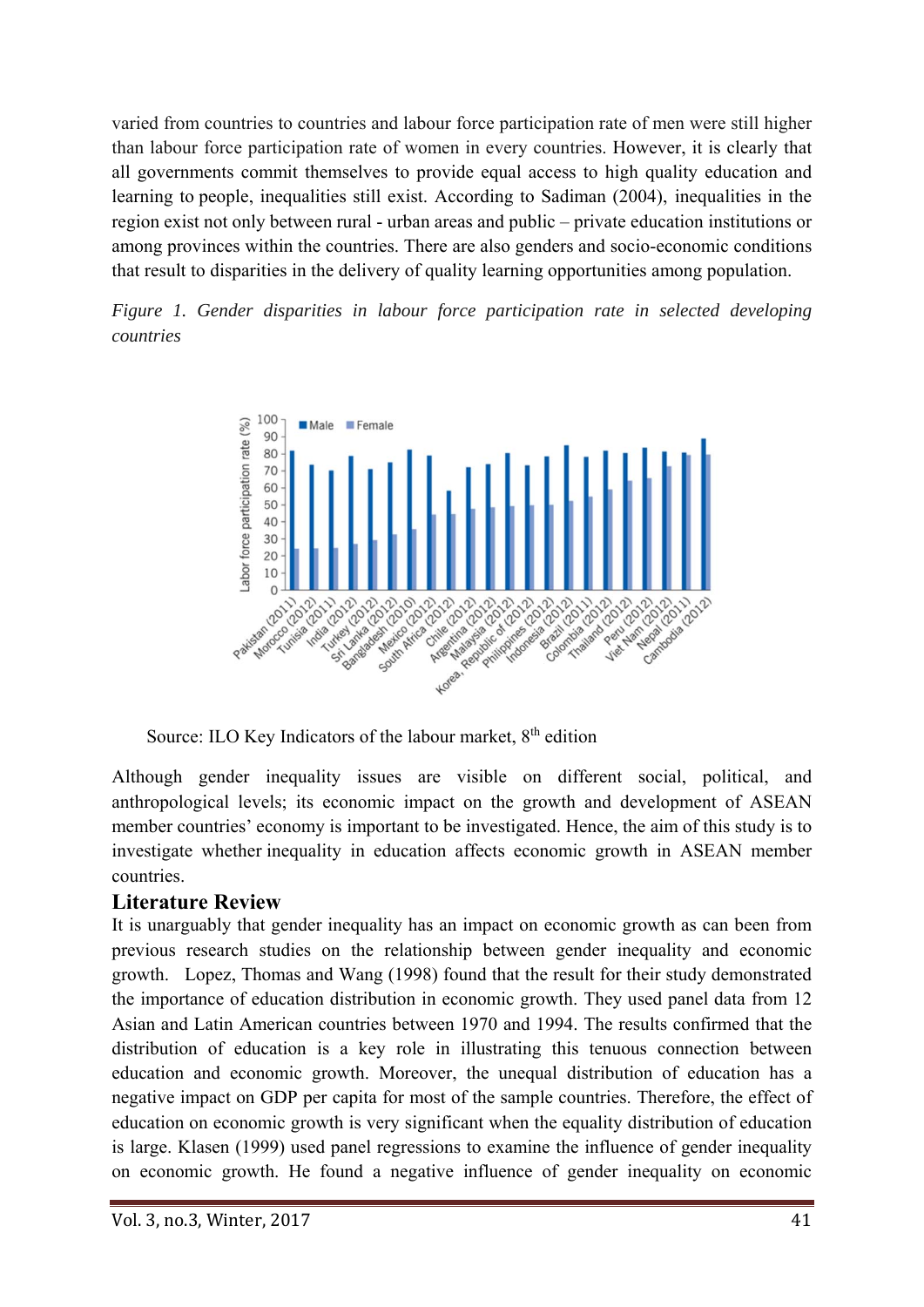varied from countries to countries and labour force participation rate of men were still higher than labour force participation rate of women in every countries. However, it is clearly that all governments commit themselves to provide equal access to high quality education and learning to people, inequalities still exist. According to Sadiman (2004), inequalities in the region exist not only between rural - urban areas and public – private education institutions or among provinces within the countries. There are also genders and socio-economic conditions that result to disparities in the delivery of quality learning opportunities among population.

*Figure 1. Gender disparities in labour force participation rate in selected developing countries* 



Source: ILO Key Indicators of the labour market, 8<sup>th</sup> edition

Although gender inequality issues are visible on different social, political, and anthropological levels; its economic impact on the growth and development of ASEAN member countries' economy is important to be investigated. Hence, the aim of this study is to investigate whether inequality in education affects economic growth in ASEAN member countries.

## **Literature Review**

It is unarguably that gender inequality has an impact on economic growth as can been from previous research studies on the relationship between gender inequality and economic growth. Lopez, Thomas and Wang (1998) found that the result for their study demonstrated the importance of education distribution in economic growth. They used panel data from 12 Asian and Latin American countries between 1970 and 1994. The results confirmed that the distribution of education is a key role in illustrating this tenuous connection between education and economic growth. Moreover, the unequal distribution of education has a negative impact on GDP per capita for most of the sample countries. Therefore, the effect of education on economic growth is very significant when the equality distribution of education is large. Klasen (1999) used panel regressions to examine the influence of gender inequality on economic growth. He found a negative influence of gender inequality on economic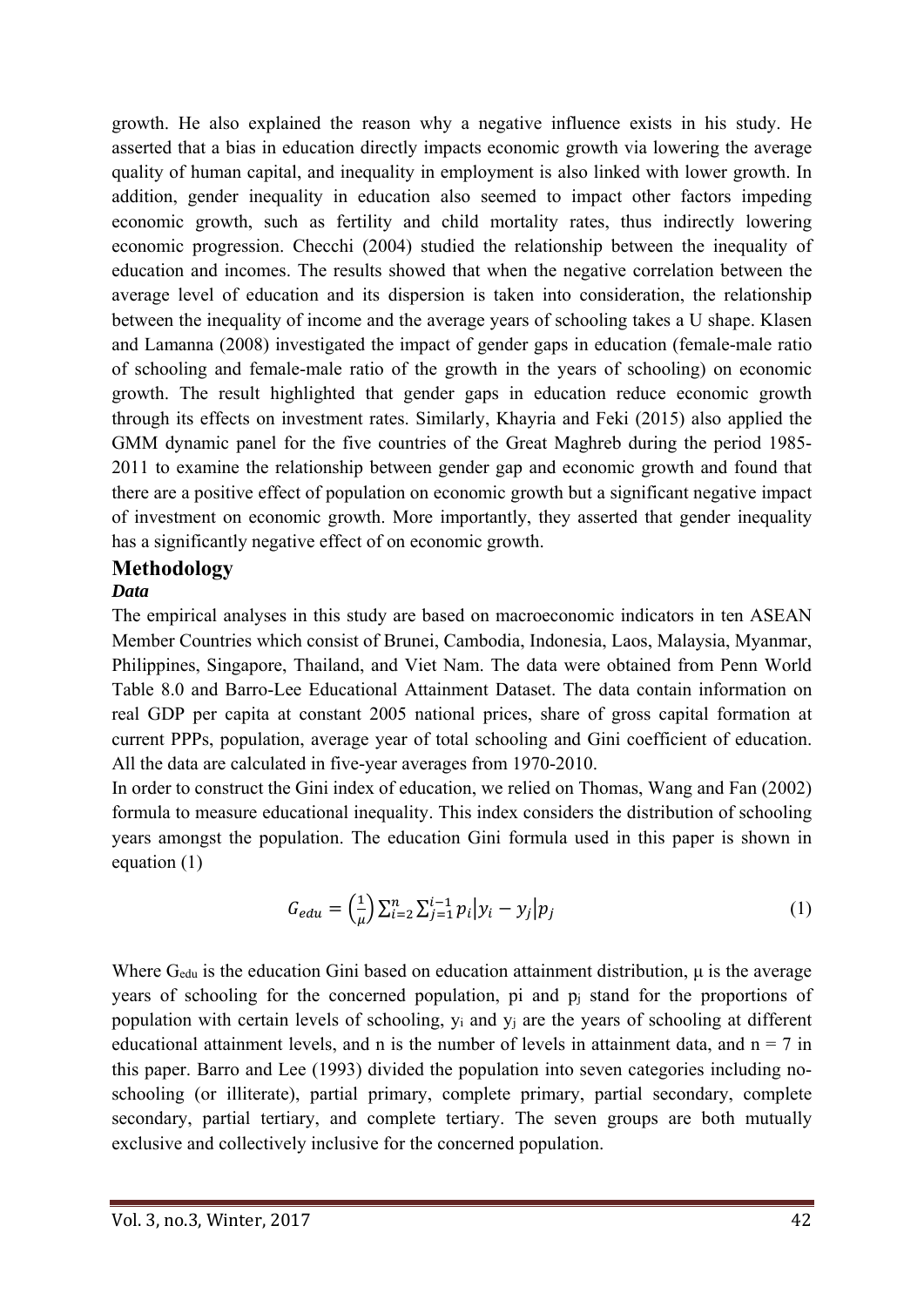growth. He also explained the reason why a negative influence exists in his study. He asserted that a bias in education directly impacts economic growth via lowering the average quality of human capital, and inequality in employment is also linked with lower growth. In addition, gender inequality in education also seemed to impact other factors impeding economic growth, such as fertility and child mortality rates, thus indirectly lowering economic progression. Checchi (2004) studied the relationship between the inequality of education and incomes. The results showed that when the negative correlation between the average level of education and its dispersion is taken into consideration, the relationship between the inequality of income and the average years of schooling takes a U shape. Klasen and Lamanna (2008) investigated the impact of gender gaps in education (female-male ratio of schooling and female-male ratio of the growth in the years of schooling) on economic growth. The result highlighted that gender gaps in education reduce economic growth through its effects on investment rates. Similarly, Khayria and Feki (2015) also applied the GMM dynamic panel for the five countries of the Great Maghreb during the period 1985- 2011 to examine the relationship between gender gap and economic growth and found that there are a positive effect of population on economic growth but a significant negative impact of investment on economic growth. More importantly, they asserted that gender inequality has a significantly negative effect of on economic growth.

# **Methodology**

#### *Data*

The empirical analyses in this study are based on macroeconomic indicators in ten ASEAN Member Countries which consist of Brunei, Cambodia, Indonesia, Laos, Malaysia, Myanmar, Philippines, Singapore, Thailand, and Viet Nam. The data were obtained from Penn World Table 8.0 and Barro-Lee Educational Attainment Dataset. The data contain information on real GDP per capita at constant 2005 national prices, share of gross capital formation at current PPPs, population, average year of total schooling and Gini coefficient of education. All the data are calculated in five-year averages from 1970-2010.

In order to construct the Gini index of education, we relied on Thomas, Wang and Fan (2002) formula to measure educational inequality. This index considers the distribution of schooling years amongst the population. The education Gini formula used in this paper is shown in equation (1)

$$
G_{edu} = \left(\frac{1}{\mu}\right) \sum_{i=2}^{n} \sum_{j=1}^{i-1} p_i |y_i - y_j| p_j \tag{1}
$$

Where Gedu is the education Gini based on education attainment distribution, μ is the average years of schooling for the concerned population, pi and p<sub>i</sub> stand for the proportions of population with certain levels of schooling, yi and yj are the years of schooling at different educational attainment levels, and n is the number of levels in attainment data, and  $n = 7$  in this paper. Barro and Lee (1993) divided the population into seven categories including noschooling (or illiterate), partial primary, complete primary, partial secondary, complete secondary, partial tertiary, and complete tertiary. The seven groups are both mutually exclusive and collectively inclusive for the concerned population.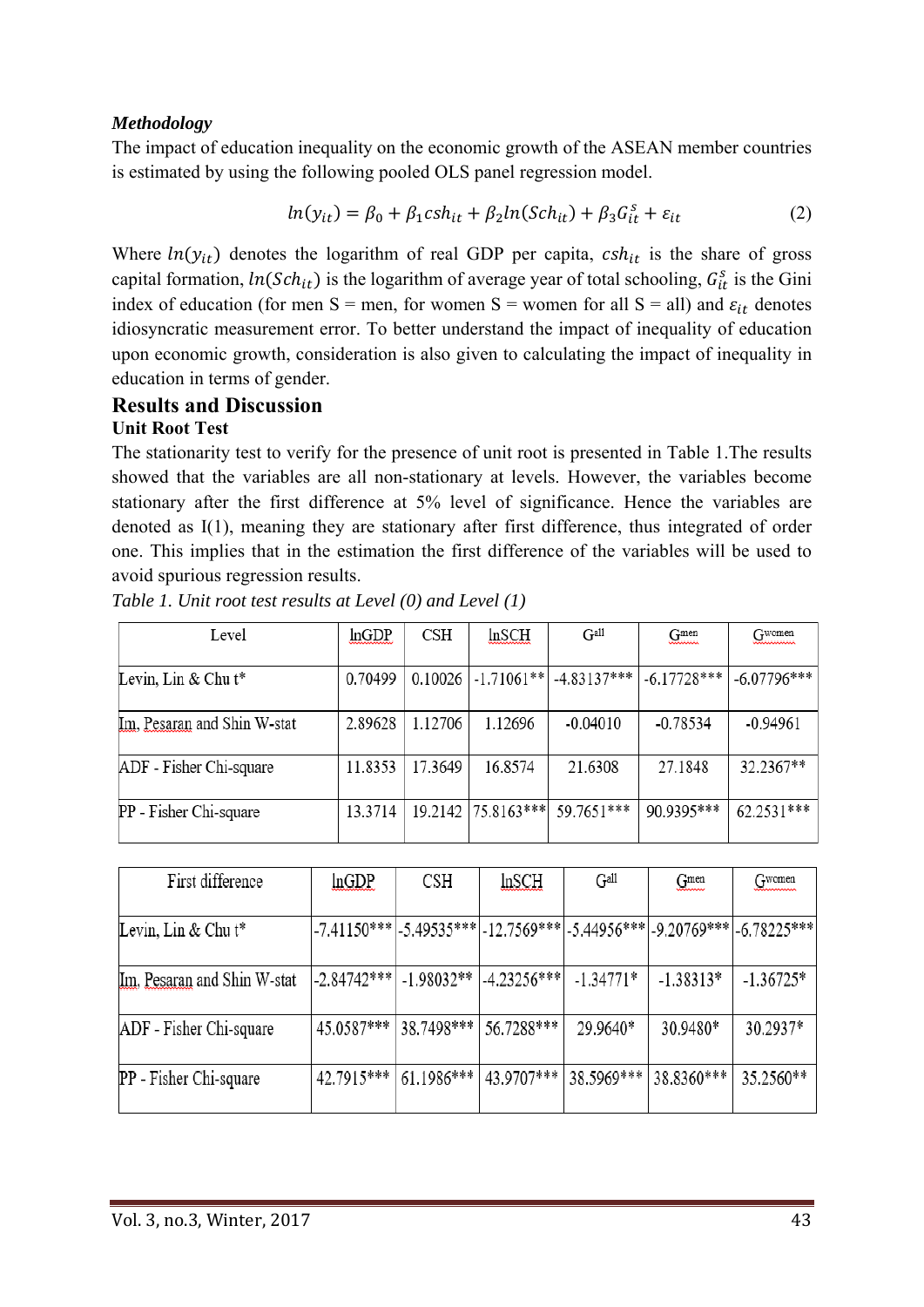#### *Methodology*

The impact of education inequality on the economic growth of the ASEAN member countries is estimated by using the following pooled OLS panel regression model.

$$
ln(y_{it}) = \beta_0 + \beta_1 csh_{it} + \beta_2 ln(Sch_{it}) + \beta_3 G_{it}^s + \varepsilon_{it}
$$
 (2)

Where  $ln(y_{it})$  denotes the logarithm of real GDP per capita,  $csh_{it}$  is the share of gross capital formation,  $ln(Sch_{it})$  is the logarithm of average year of total schooling,  $G_{it}^s$  is the Gini index of education (for men S = men, for women S = women for all S = all) and  $\varepsilon_{it}$  denotes idiosyncratic measurement error. To better understand the impact of inequality of education upon economic growth, consideration is also given to calculating the impact of inequality in education in terms of gender.

#### **Results and Discussion Unit Root Test**

The stationarity test to verify for the presence of unit root is presented in Table 1.The results showed that the variables are all non-stationary at levels. However, the variables become stationary after the first difference at 5% level of significance. Hence the variables are denoted as I(1), meaning they are stationary after first difference, thus integrated of order one. This implies that in the estimation the first difference of the variables will be used to avoid spurious regression results.

| Level                       | lnGDP   | CSH     | In SCH        | Gall          | G <sub>mean</sub> | Gwomen        |
|-----------------------------|---------|---------|---------------|---------------|-------------------|---------------|
| Levin, Lin & Chu t*         | 0.70499 | 0.10026 | $-1.71061**$  | $-4.83137***$ | $-6.17728***$     | $-6.07796***$ |
| Im, Pesaran and Shin W-stat | 2.89628 | 1.12706 | 1.12696       | $-0.04010$    | $-0.78534$        | $-0.94961$    |
| ADF - Fisher Chi-square     | 11.8353 | 17.3649 | 16.8574       | 21.6308       | 27.1848           | 32.2367**     |
| PP - Fisher Chi-square      | 13.3714 | 19.2142 | $ 75.8163***$ | 59.7651***    | 90.9395***        | 62.2531***    |

*Table 1. Unit root test results at Level (0) and Level (1)* 

| First difference            | lnGDP                   | CSH                     | In <sub>SCH</sub>     | Gall        | G <sub>mon</sub> | $G$ <sub>women</sub>                                                                |
|-----------------------------|-------------------------|-------------------------|-----------------------|-------------|------------------|-------------------------------------------------------------------------------------|
| Levin, Lin & Chu $t^*$      |                         |                         |                       |             |                  | $-7.41150***$ $-5.49535***$ $-12.7569***$ $-5.44956***$ $-9.20769***$ $-6.78225***$ |
| Im, Pesaran and Shin W-stat | -2.84742***  -1.98032** |                         | $ -4.23256*** $       | $-1.34771*$ | $-1.38313*$      | $-1.36725*$                                                                         |
| ADF - Fisher Chi-square     | 45.0587*** 38.7498***   |                         | 56.7288***            | 29.9640*    | 30.9480*         | 30.2937*                                                                            |
| PP - Fisher Chi-square      |                         | $42.7915***$ 61.1986*** | 43.9707*** 38.5969*** |             | 38.8360***       | 35.2560**                                                                           |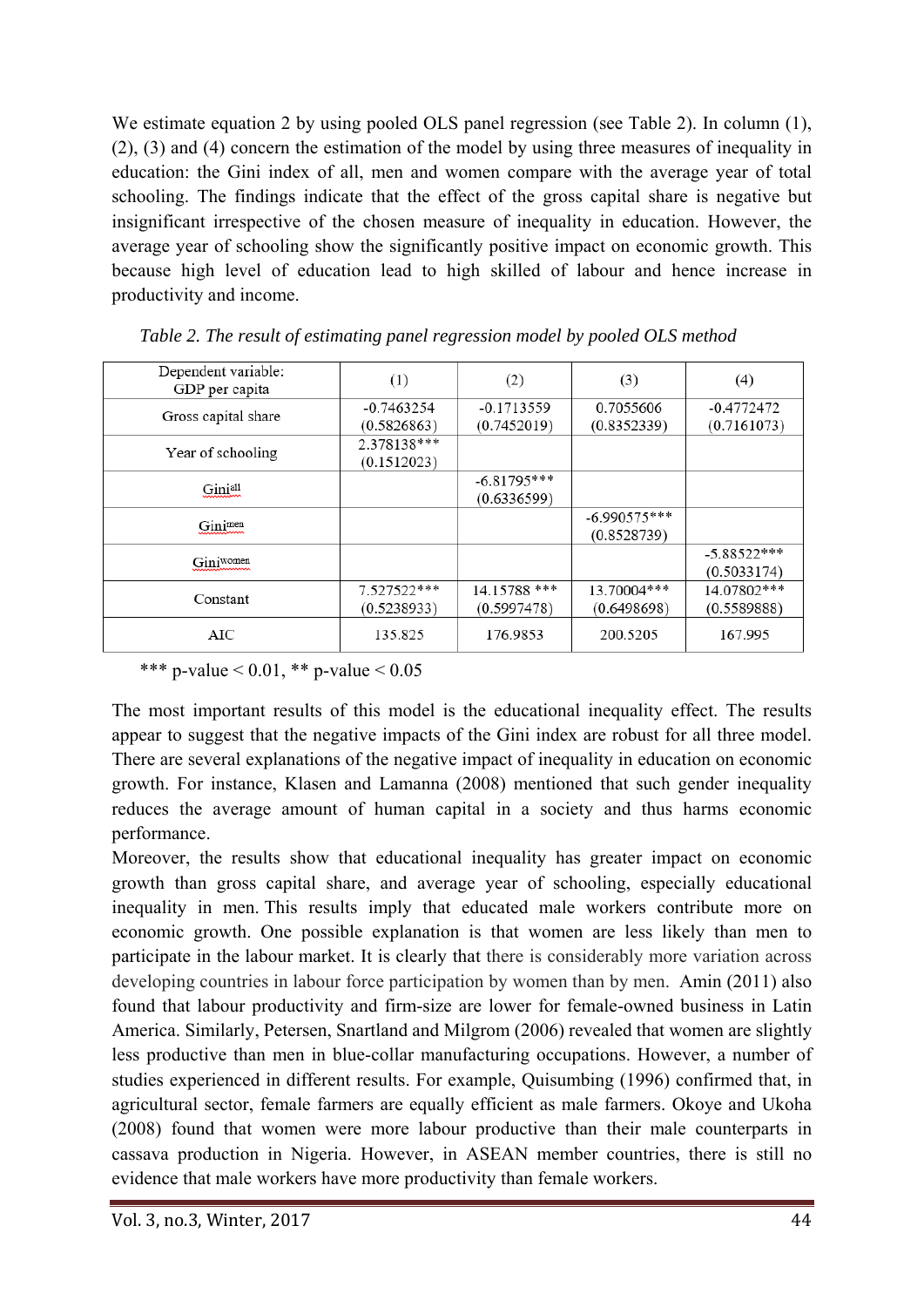We estimate equation 2 by using pooled OLS panel regression (see Table 2). In column (1), (2), (3) and (4) concern the estimation of the model by using three measures of inequality in education: the Gini index of all, men and women compare with the average year of total schooling. The findings indicate that the effect of the gross capital share is negative but insignificant irrespective of the chosen measure of inequality in education. However, the average year of schooling show the significantly positive impact on economic growth. This because high level of education lead to high skilled of labour and hence increase in productivity and income.

| Dependent variable:<br>GDP per capita | (1)          | (2)           | (3)            | (4)           |
|---------------------------------------|--------------|---------------|----------------|---------------|
|                                       | $-0.7463254$ | $-0.1713559$  | 0.7055606      | $-0.4772472$  |
| Gross capital share                   | (0.5826863)  | (0.7452019)   | (0.8352339)    | (0.7161073)   |
| Year of schooling                     | 2.378138***  |               |                |               |
|                                       | (0.1512023)  |               |                |               |
| Giniall                               |              | $-6.81795***$ |                |               |
|                                       |              | (0.6336599)   |                |               |
| Ginimen                               |              |               | $-6.990575***$ |               |
|                                       |              |               | (0.8528739)    |               |
| Giniwomen                             |              |               |                | $-5.88522***$ |
|                                       |              |               |                | (0.5033174)   |
| Constant                              | 7.527522***  | 14.15788 ***  | 13.70004***    | 14.07802***   |
|                                       | (0.5238933)  | (0.5997478)   | (0.6498698)    | (0.5589888)   |
| AIC                                   | 135.825      | 176.9853      | 200.5205       | 167.995       |

*Table 2. The result of estimating panel regression model by pooled OLS method* 

\*\*\* p-value  $< 0.01$ , \*\* p-value  $< 0.05$ 

The most important results of this model is the educational inequality effect. The results appear to suggest that the negative impacts of the Gini index are robust for all three model. There are several explanations of the negative impact of inequality in education on economic growth. For instance, Klasen and Lamanna (2008) mentioned that such gender inequality reduces the average amount of human capital in a society and thus harms economic performance.

Moreover, the results show that educational inequality has greater impact on economic growth than gross capital share, and average year of schooling, especially educational inequality in men. This results imply that educated male workers contribute more on economic growth. One possible explanation is that women are less likely than men to participate in the labour market. It is clearly that there is considerably more variation across developing countries in labour force participation by women than by men. Amin (2011) also found that labour productivity and firm-size are lower for female-owned business in Latin America. Similarly, Petersen, Snartland and Milgrom (2006) revealed that women are slightly less productive than men in blue-collar manufacturing occupations. However, a number of studies experienced in different results. For example, Quisumbing (1996) confirmed that, in agricultural sector, female farmers are equally efficient as male farmers. Okoye and Ukoha (2008) found that women were more labour productive than their male counterparts in cassava production in Nigeria. However, in ASEAN member countries, there is still no evidence that male workers have more productivity than female workers.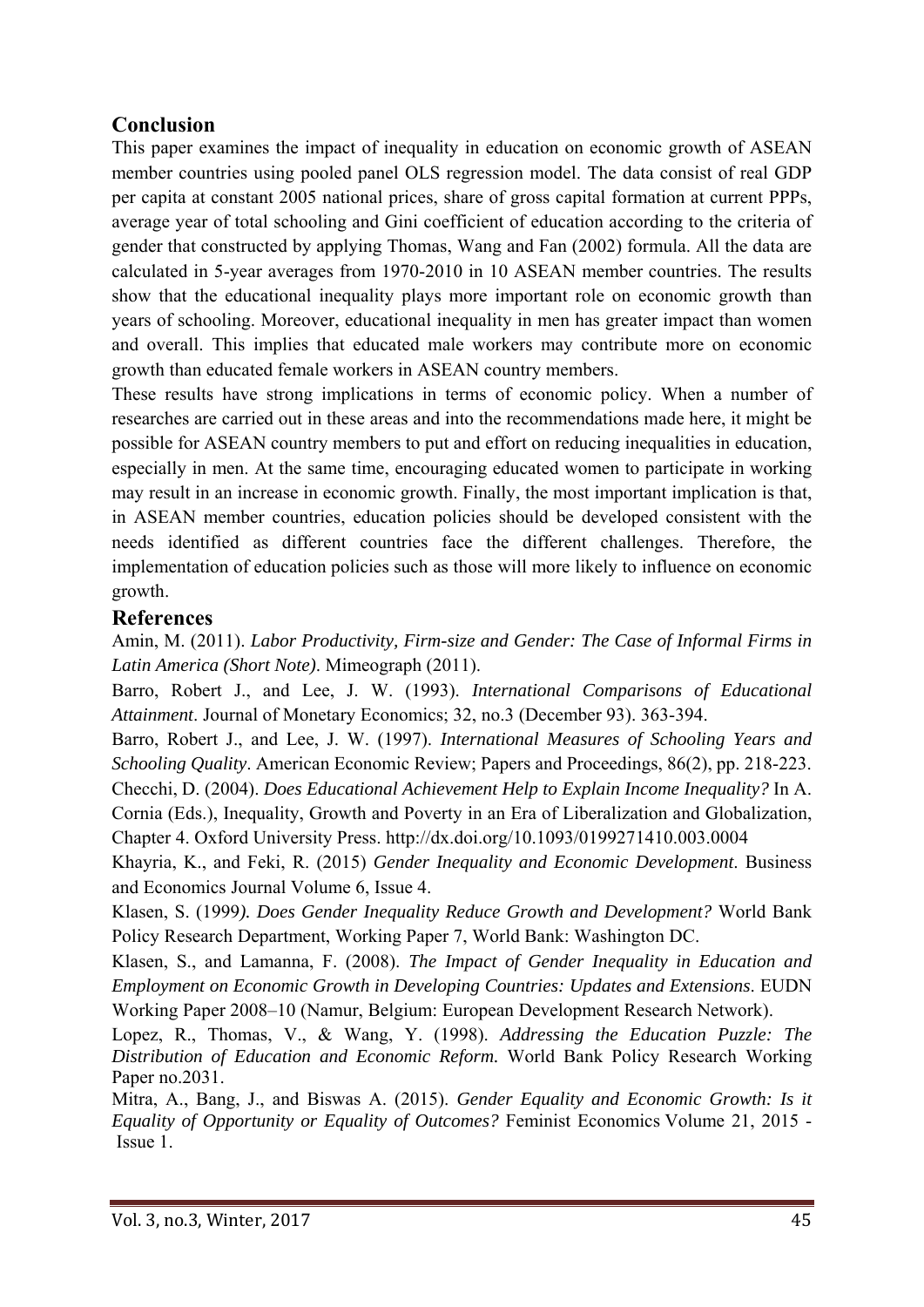# **Conclusion**

This paper examines the impact of inequality in education on economic growth of ASEAN member countries using pooled panel OLS regression model. The data consist of real GDP per capita at constant 2005 national prices, share of gross capital formation at current PPPs, average year of total schooling and Gini coefficient of education according to the criteria of gender that constructed by applying Thomas, Wang and Fan (2002) formula. All the data are calculated in 5-year averages from 1970-2010 in 10 ASEAN member countries. The results show that the educational inequality plays more important role on economic growth than years of schooling. Moreover, educational inequality in men has greater impact than women and overall. This implies that educated male workers may contribute more on economic growth than educated female workers in ASEAN country members.

These results have strong implications in terms of economic policy. When a number of researches are carried out in these areas and into the recommendations made here, it might be possible for ASEAN country members to put and effort on reducing inequalities in education, especially in men. At the same time, encouraging educated women to participate in working may result in an increase in economic growth. Finally, the most important implication is that, in ASEAN member countries, education policies should be developed consistent with the needs identified as different countries face the different challenges. Therefore, the implementation of education policies such as those will more likely to influence on economic growth.

## **References**

Amin, M. (2011). *Labor Productivity, Firm-size and Gender: The Case of Informal Firms in Latin America (Short Note)*. Mimeograph (2011).

Barro, Robert J., and Lee, J. W. (1993). *International Comparisons of Educational Attainment*. Journal of Monetary Economics; 32, no.3 (December 93). 363-394.

Barro, Robert J., and Lee, J. W. (1997). *International Measures of Schooling Years and Schooling Quality*. American Economic Review; Papers and Proceedings, 86(2), pp. 218-223. Checchi, D. (2004). *Does Educational Achievement Help to Explain Income Inequality?* In A. Cornia (Eds.), Inequality, Growth and Poverty in an Era of Liberalization and Globalization, Chapter 4. Oxford University Press. http://dx.doi.org/10.1093/0199271410.003.0004

Khayria, K., and Feki, R. (2015) *Gender Inequality and Economic Development*. Business and Economics Journal Volume 6, Issue 4.

Klasen, S. (1999*). Does Gender Inequality Reduce Growth and Development?* World Bank Policy Research Department, Working Paper 7, World Bank: Washington DC.

Klasen, S., and Lamanna, F. (2008). *The Impact of Gender Inequality in Education and Employment on Economic Growth in Developing Countries: Updates and Extensions*. EUDN Working Paper 2008–10 (Namur, Belgium: European Development Research Network).

Lopez, R., Thomas, V., & Wang, Y. (1998). *Addressing the Education Puzzle: The Distribution of Education and Economic Reform.* World Bank Policy Research Working Paper no.2031.

Mitra, A., Bang, J., and Biswas A. (2015). *Gender Equality and Economic Growth: Is it Equality of Opportunity or Equality of Outcomes?* Feminist Economics Volume 21, 2015 - Issue 1.